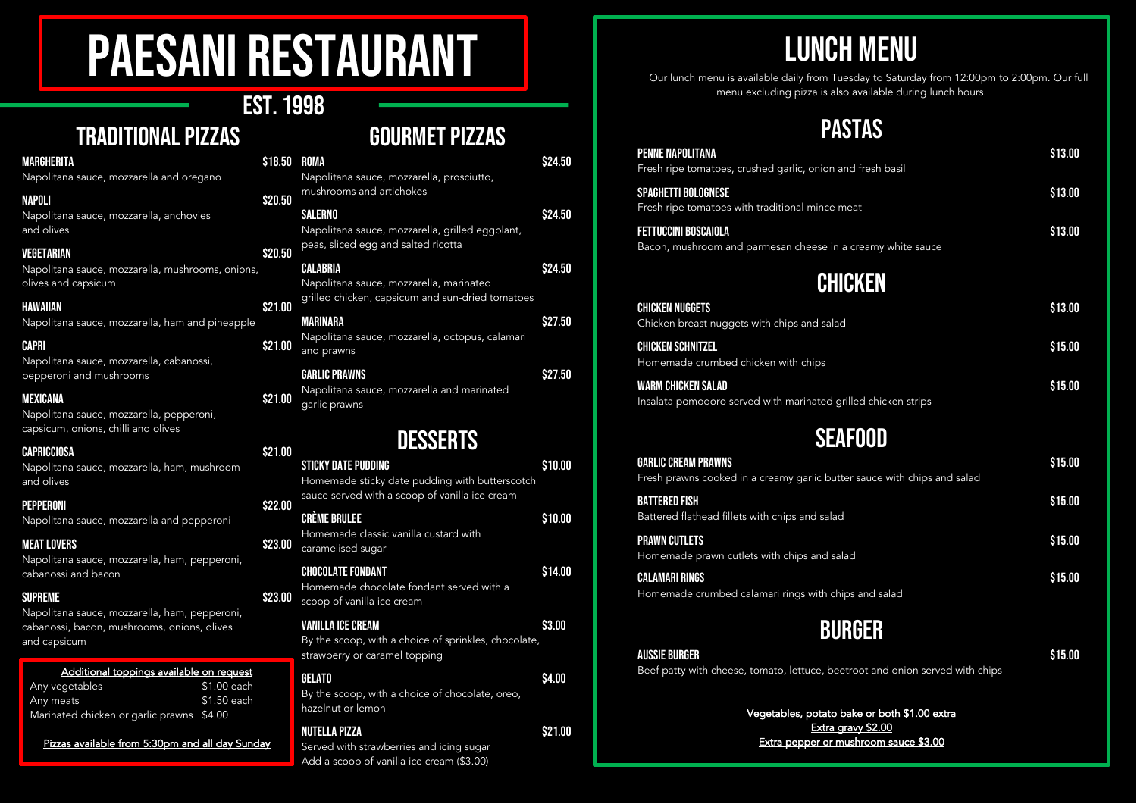# Paesani Restaurant

## Est. 1998

Traditional pizzas

#### **HAWAIIAN**

| NAPOLI                                   |  |  | \$20.50 |  |
|------------------------------------------|--|--|---------|--|
| Napolitana sauce, mozzarella and oregano |  |  |         |  |

#### **VEGETARIAN**

Napolitana sauce, mozzarella, ham, mush and olives

#### PEPPERONI S22.00

#### **MEXICANA**

#### **CAPRICCIOSA**

Napolitana sauce, mozzarella and pepperoni

#### MEAT LOVERS \$23.00

Napolitana sauce, mozzarella, ham, pepperoni, cabanossi and bacon

#### supreme  $$23.00$

Napolitana sauce, mozzarella, ham, pepperoni, cabanossi, bacon, mushrooms, onions, olives and capsicum

## Gourmet pizzas

| MARGHERITA                                                              | \$18.50 | ROMA                                                              | \$24.50 |
|-------------------------------------------------------------------------|---------|-------------------------------------------------------------------|---------|
| Napolitana sauce, mozzarella and oregano                                |         | Napolitana sauce, mozzarella, prosciutto,                         |         |
| NAPOLI                                                                  | \$20.50 | mushrooms and artichokes                                          |         |
| Napolitana sauce, mozzarella, anchovies<br>and olives                   |         | <b>SALERNO</b><br>Napolitana sauce, mozzarella, grilled eggplant, | \$24.50 |
| VEGETARIAN                                                              | \$20.50 | peas, sliced egg and salted ricotta                               |         |
| Napolitana sauce, mozzarella, mushrooms, onions,<br>olives and capsicum |         | <b>CALABRIA</b><br>Napolitana sauce, mozzarella, marinated        | \$24.50 |
| HAWAIIAN                                                                | \$21.00 | grilled chicken, capsicum and sun-dried tomatoes                  |         |
| Napolitana sauce, mozzarella, ham and pineapple                         |         | MARINARA                                                          | \$27.50 |
| CAPRI<br>Napolitana sauce, mozzarella, cabanossi,                       | \$21.00 | Napolitana sauce, mozzarella, octopus, calamari<br>and prawns     |         |
| pepperoni and mushrooms                                                 |         | <b>GARLIC PRAWNS</b>                                              | \$27.50 |
| MEXICANA<br>Napolitana sauce, mozzarella, pepperoni,                    | \$21.00 | Napolitana sauce, mozzarella and marinated<br>garlic prawns       |         |
| capsicum, onions, chilli and olives                                     |         |                                                                   |         |
| CAPRICCIOSA                                                             | \$21.00 | <b>DESSERTS</b>                                                   |         |
| Napolitana sauce, mozzarella, ham, mushroom                             |         | <b>STICKY DATE PUDDING</b>                                        | \$10.00 |
| and olives                                                              |         | Homemade sticky date pudding with butterscotch                    |         |

CHICKEN NUGGETS Chicken breast nuggets with chips and salad

CHICKEN SCHNITZEL Homemade crumbed chicken with chips

WARM CHICKEN SALAD Insalata pomodoro served with marinated grille

# **SEAF**

**GARLIC CREAM PRAWNS** Fresh prawns cooked in a creamy garlic butter

**BATTERED FISH** Battered flathead fillets with chips and salad

PRAWN CUTLETS Homemade prawn cutlets with chips and salad

CALAMARI RINGS Homemade crumbed calamari rings with chips

## sauce served with a scoop of vanilla ice cream CRÈME BRULEE STO.00 Homemade classic vanilla custard with caramelised sugar CHOCOLATE FONDANT \$14.00 Homemade chocolate fondant served with a scoop of vanilla ice cream VANILLA ICE CREAM  $$3.00$ By the scoop, with a choice of sprinkles, chocolate, strawberry or caramel topping  $GELAT0$   $$4.00$ By the scoop, with a choice of chocolate, oreo, hazelnut or lemon Nutella pizza \$21.00

Served with strawberries and icing sugar Add a scoop of vanilla ice cream (\$3.00)

| fresh basil                      | \$13.00            |
|----------------------------------|--------------------|
| t                                | \$13.00            |
| eamy white sauce                 | \$13.00            |
| <b>KEN</b>                       |                    |
|                                  | \$13.00            |
|                                  | \$15.00            |
| d chicken strips                 | \$15.00            |
|                                  |                    |
| DOD<br>auce with chips and salad | \$15.00<br>\$15.00 |
|                                  | \$15.00            |
| and salad                        | \$15.00            |
|                                  |                    |

### Additional toppings available on request

| Any vegetables                            | \$1.00 each |
|-------------------------------------------|-------------|
| Any meats                                 | \$1.50 each |
| Marinated chicken or garlic prawns \$4.00 |             |

Pizzas available from 5:30pm and all day Sunday

# Lunch Menu

Our lunch menu is available daily from Tuesday to Saturday from 12:00pm to 2:00pm. Our full menu excluding pizza is also available during lunch hours.

## **PASTAS**

#### PENNE NAPOLITANA Fresh ripe tomatoes, crushed garlic, onion and

SPAGHETTI BOLOGNESE Fresh ripe tomatoes with traditional mince mea

FETTUCCINI BOSCAIOLA Bacon, mushroom and parmesan cheese in a cr

## Chici

# Burger

Aussie Burger \$15.00 Beef patty with cheese, tomato, lettuce, beetroot and onion served with chips

> Vegetables, potato bake or both \$1.00 extra Extra gravy \$2.00 Extra pepper or mushroom sauce \$3.00